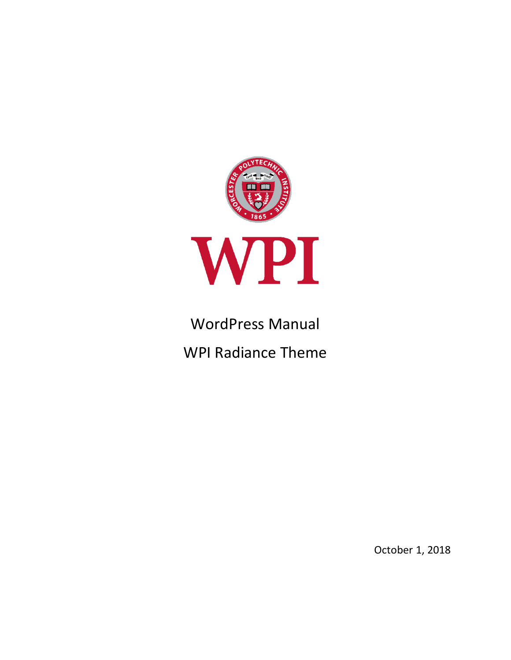

# WordPress Manual

WPI Radiance Theme

October 1, 2018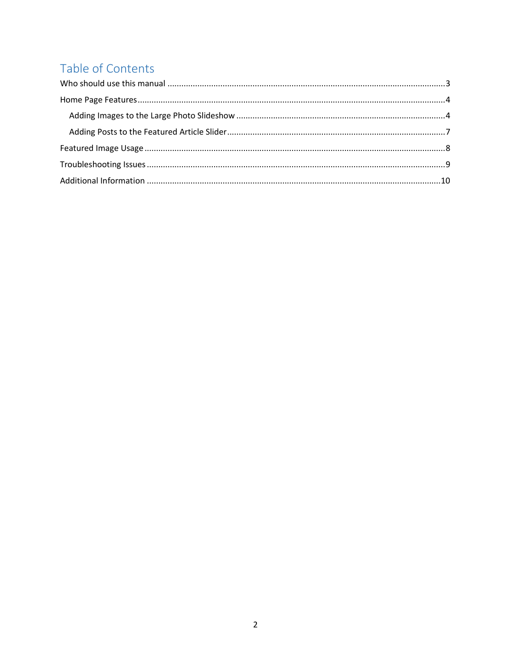# Table of Contents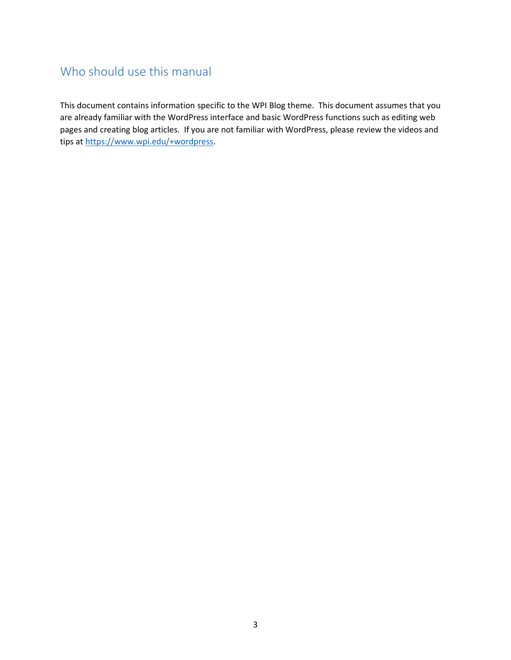## <span id="page-2-0"></span>Who should use this manual

This document contains information specific to the WPI Blog theme. This document assumes that you are already familiar with the WordPress interface and basic WordPress functions such as editing web pages and creating blog articles. If you are not familiar with WordPress, please review the videos and tips at [https://www.wpi.edu/+wordpress.](https://www.wpi.edu/+wordpress)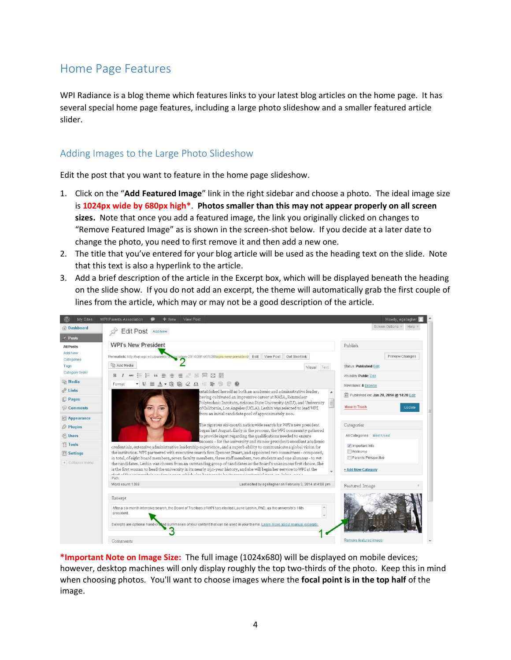### <span id="page-3-0"></span>Home Page Features

WPI Radiance is a blog theme which features links to your latest blog articles on the home page. It has several special home page features, including a large photo slideshow and a smaller featured article slider.

#### <span id="page-3-1"></span>Adding Images to the Large Photo Slideshow

Edit the post that you want to feature in the home page slideshow.

- 1. Click on the "**Add Featured Image**" link in the right sidebar and choose a photo. The ideal image size is **1024px wide by 680px high\***. **Photos smaller than this may not appear properly on all screen sizes.** Note that once you add a featured image, the link you originally clicked on changes to "Remove Featured Image" as is shown in the screen-shot below. If you decide at a later date to change the photo, you need to first remove it and then add a new one.
- 2. The title that you've entered for your blog article will be used as the heading text on the slide. Note that this text is also a hyperlink to the article.
- 3. Add a brief description of the article in the Excerpt box, which will be displayed beneath the heading on the slide show. If you do not add an excerpt, the theme will automatically grab the first couple of lines from the article, which may or may not be a good description of the article.



**\*Important Note on Image Size:** The full image (1024x680) will be displayed on mobile devices; however, desktop machines will only display roughly the top two-thirds of the photo. Keep this in mind when choosing photos. You'll want to choose images where the **focal point is in the top half** of the image.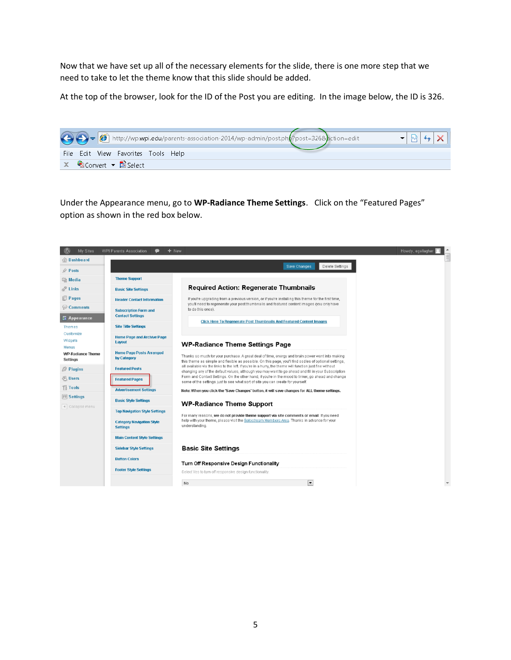Now that we have set up all of the necessary elements for the slide, there is one more step that we need to take to let the theme know that this slide should be added.

At the top of the browser, look for the ID of the Post you are editing. In the image below, the ID is 326.



Under the Appearance menu, go to **WP-Radiance Theme Settings**. Click on the "Featured Pages" option as shown in the red box below.

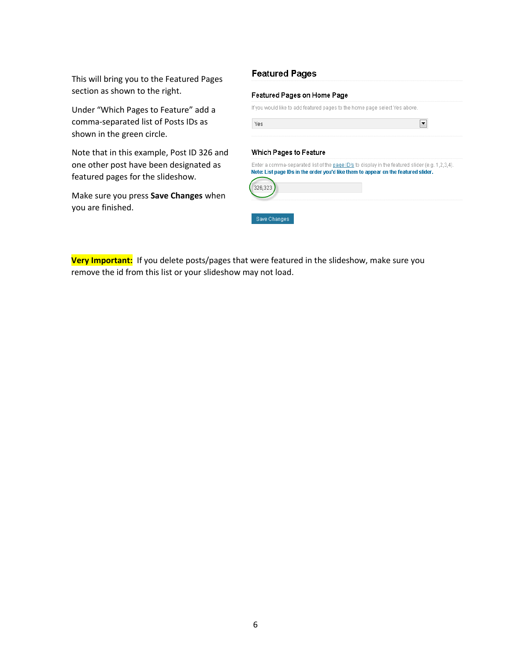This will bring you to the Featured Pages section as shown to the right.

Under "Which Pages to Feature" add a comma-separated list of Posts IDs as shown in the green circle.

Note that in this example, Post ID 326 and one other post have been designated as featured pages for the slideshow.

Make sure you press **Save Changes** when you are finished.

|                        | Featured Pages on Home Page                                                |
|------------------------|----------------------------------------------------------------------------|
|                        | If you would like to add featured pages to the home page select Yes above. |
| Yes                    |                                                                            |
|                        |                                                                            |
|                        |                                                                            |
| Which Pages to Feature |                                                                            |

**Very Important:** If you delete posts/pages that were featured in the slideshow, make sure you remove the id from this list or your slideshow may not load.

Save Changes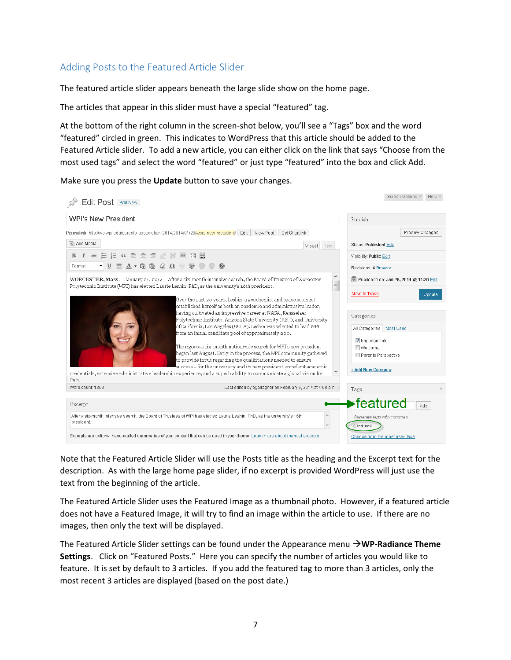#### <span id="page-6-0"></span>Adding Posts to the Featured Article Slider

The featured article slider appears beneath the large slide show on the home page.

The articles that appear in this slider must have a special "featured" tag.

At the bottom of the right column in the screen-shot below, you'll see a "Tags" box and the word "featured" circled in green. This indicates to WordPress that this article should be added to the Featured Article slider. To add a new article, you can either click on the link that says "Choose from the most used tags" and select the word "featured" or just type "featured" into the box and click Add.

Make sure you press the **Update** button to save your changes.

| Edit Post Add New                                                                                                                                                                                                                                                                                                                                                                                                                                                                                                                                                                                                                                                                                                                                                                                                           | Screen Options ▼<br>Help 1                                                                                                                                         |
|-----------------------------------------------------------------------------------------------------------------------------------------------------------------------------------------------------------------------------------------------------------------------------------------------------------------------------------------------------------------------------------------------------------------------------------------------------------------------------------------------------------------------------------------------------------------------------------------------------------------------------------------------------------------------------------------------------------------------------------------------------------------------------------------------------------------------------|--------------------------------------------------------------------------------------------------------------------------------------------------------------------|
| <b>WPI's New President</b>                                                                                                                                                                                                                                                                                                                                                                                                                                                                                                                                                                                                                                                                                                                                                                                                  | Publish                                                                                                                                                            |
| View Post<br>Get Shortlink<br>Permalink: http://wp.wpi.edu/parents-association-2014/2014/01/28/wpis-new-president/ Edit                                                                                                                                                                                                                                                                                                                                                                                                                                                                                                                                                                                                                                                                                                     | Preview Changes                                                                                                                                                    |
| mg Add Media<br>Visual Text                                                                                                                                                                                                                                                                                                                                                                                                                                                                                                                                                                                                                                                                                                                                                                                                 | <b>Status: Published Edit</b>                                                                                                                                      |
|                                                                                                                                                                                                                                                                                                                                                                                                                                                                                                                                                                                                                                                                                                                                                                                                                             | Visibility: Public Edit                                                                                                                                            |
| $\bullet$ V $\equiv$ $\Delta$ $\bullet$ G $\stackrel{\frown}{\omega}$ G $\stackrel{\frown}{\omega}$ V $\stackrel{\frown}{\omega}$ V $\stackrel{\frown}{\omega}$<br>Format                                                                                                                                                                                                                                                                                                                                                                                                                                                                                                                                                                                                                                                   | Revisions: 4 Browse                                                                                                                                                |
| ▲<br>WORCESTER, Mass. - January 21, 2014 - After a six-month intensive search, the Board of Trustees of Worcester<br>$\equiv$<br>Polytechnic Institute (WPI) has elected Laurie Leshin, PhD, as the university's 16th president.                                                                                                                                                                                                                                                                                                                                                                                                                                                                                                                                                                                            | 聞 Published on: Jan 28, 2014 @ 14:20 Edit                                                                                                                          |
| Over the past 20 years, Leshin, a geochemist and space scientist,<br>established herself as both an academic and administrative leader,<br>having cultivated an impressive career at NASA, Rensselaer<br>Polytechnic Institute, Arizona State University (ASU), and University<br>of California, Los Angeles (UCLA). Leshin was selected to lead WPI<br>from an initial candidate pool of approximately 200.<br>The rigorous six-month nationwide search for WPI's new president<br>began last August. Early in the process, the WPI community gathered<br>to provide input regarding the qualifications needed to ensure<br>success – for the university and its new president: excellent academic<br>credentials, extensive administrative leadership experience, and a superb ability to communicate a global vision for | Move to Trash<br>Update<br>Categories<br>All Categories   Most Used<br>$\sqrt{\phantom{a}}$ Important Info<br>Welcome<br>Parents Perspective<br>+ Add New Category |
| Path:<br>Last edited by eqallagher on February 3, 2014 at 4:08 pm<br>Word count: 1369                                                                                                                                                                                                                                                                                                                                                                                                                                                                                                                                                                                                                                                                                                                                       | Tags                                                                                                                                                               |
| Excerpt<br>$\blacktriangle$<br>After a six-month intensive search, the Board of Trustees of WPI has elected Laurie Leshin, PhD, as the university's 16th<br>president.                                                                                                                                                                                                                                                                                                                                                                                                                                                                                                                                                                                                                                                      | ∙featured<br>Add<br>Separate tags with commas<br>featured                                                                                                          |
| Excerpts are optional hand-crafted summaries of your content that can be used in your theme. Learn more about manual excerpts.                                                                                                                                                                                                                                                                                                                                                                                                                                                                                                                                                                                                                                                                                              | Choose from the most used tags                                                                                                                                     |

Note that the Featured Article Slider will use the Posts title as the heading and the Excerpt text for the description. As with the large home page slider, if no excerpt is provided WordPress will just use the text from the beginning of the article.

The Featured Article Slider uses the Featured Image as a thumbnail photo. However, if a featured article does not have a Featured Image, it will try to find an image within the article to use. If there are no images, then only the text will be displayed.

The Featured Article Slider settings can be found under the Appearance menu →**WP-Radiance Theme Settings**. Click on "Featured Posts." Here you can specify the number of articles you would like to feature. It is set by default to 3 articles. If you add the featured tag to more than 3 articles, only the most recent 3 articles are displayed (based on the post date.)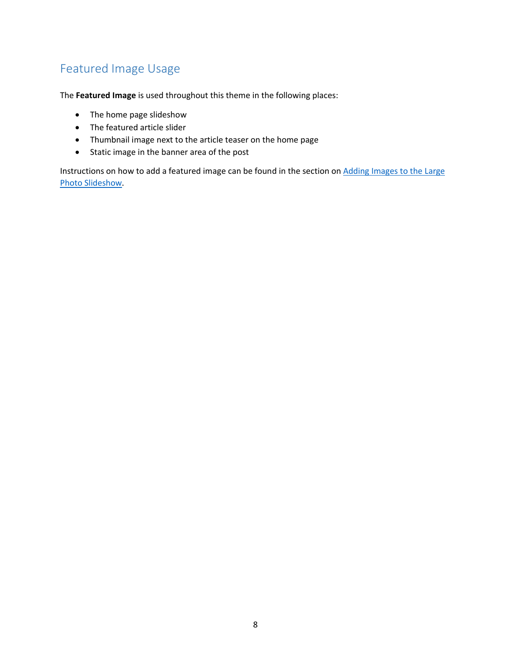# <span id="page-7-0"></span>Featured Image Usage

The **Featured Image** is used throughout this theme in the following places:

- The home page slideshow
- The featured article slider
- Thumbnail image next to the article teaser on the home page
- Static image in the banner area of the post

Instructions on how to add a featured image can be found in the section on [Adding Images to the Large](#page-3-1)  [Photo Slideshow.](#page-3-1)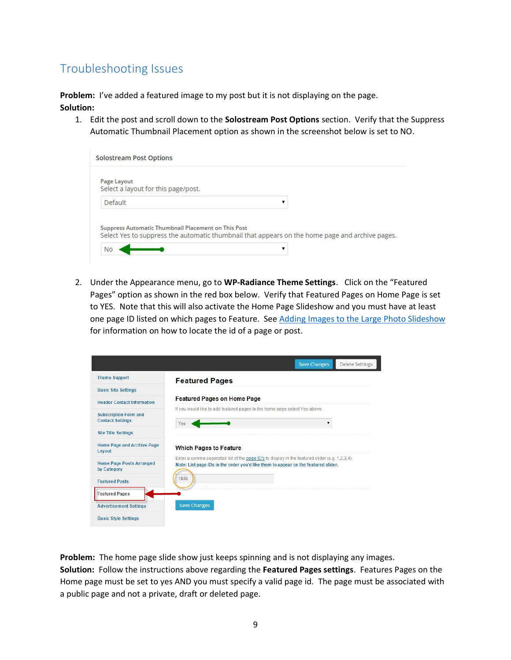# <span id="page-8-0"></span>Troubleshooting Issues

**Problem:** I've added a featured image to my post but it is not displaying on the page.

**Solution:** 

1. Edit the post and scroll down to the **Solostream Post Options** section. Verify that the Suppress Automatic Thumbnail Placement option as shown in the screenshot below is set to NO.

| <b>Solostream Post Options</b>                                                                                                                         |  |
|--------------------------------------------------------------------------------------------------------------------------------------------------------|--|
| Page Layout<br>Select a layout for this page/post.                                                                                                     |  |
| Default                                                                                                                                                |  |
| Suppress Automatic Thumbnail Placement on This Post<br>Select Yes to suppress the automatic thumbnail that appears on the home page and archive pages. |  |
| <b>No</b>                                                                                                                                              |  |

2. Under the Appearance menu, go to **WP-Radiance Theme Settings**. Click on the "Featured Pages" option as shown in the red box below. Verify that Featured Pages on Home Page is set to YES. Note that this will also activate the Home Page Slideshow and you must have at least one page ID listed on which pages to Feature. See [Adding Images to the Large Photo Slideshow](#page-3-1) for information on how to locate the id of a page or post.

|                                                         | <b>Save Changes</b><br><b>Delete Settings</b>                                                                                                                                         |
|---------------------------------------------------------|---------------------------------------------------------------------------------------------------------------------------------------------------------------------------------------|
| <b>Theme Support</b>                                    | <b>Featured Pages</b>                                                                                                                                                                 |
| <b>Basic Site Settings</b>                              |                                                                                                                                                                                       |
| <b>Header Contact Information</b>                       | <b>Featured Pages on Home Page</b>                                                                                                                                                    |
| <b>Subscription Form and</b><br><b>Contact Settings</b> | If you would like to add featured pages to the home page select Yes above.<br>Yes                                                                                                     |
| <b>Site Title Settings</b>                              |                                                                                                                                                                                       |
| Home Page and Archive Page<br>Layout                    | <b>Which Pages to Feature</b>                                                                                                                                                         |
| <b>Home Page Posts Arranged</b><br>by Category          | Enter a comma-separated list of the page ID's to display in the featured slider (e.g. 1.2.3.4).<br>Note: List page IDs in the order you'd like them to appear on the featured slider. |
| <b>Featured Posts</b>                                   | 1846                                                                                                                                                                                  |
| <b>Featured Pages</b>                                   |                                                                                                                                                                                       |
| <b>Advertisement Settings</b>                           | <b>Save Changes</b>                                                                                                                                                                   |
| <b>Basic Style Settings</b>                             |                                                                                                                                                                                       |

**Problem:** The home page slide show just keeps spinning and is not displaying any images. **Solution:** Follow the instructions above regarding the **Featured Pages settings**. Features Pages on the Home page must be set to yes AND you must specify a valid page id. The page must be associated with a public page and not a private, draft or deleted page.